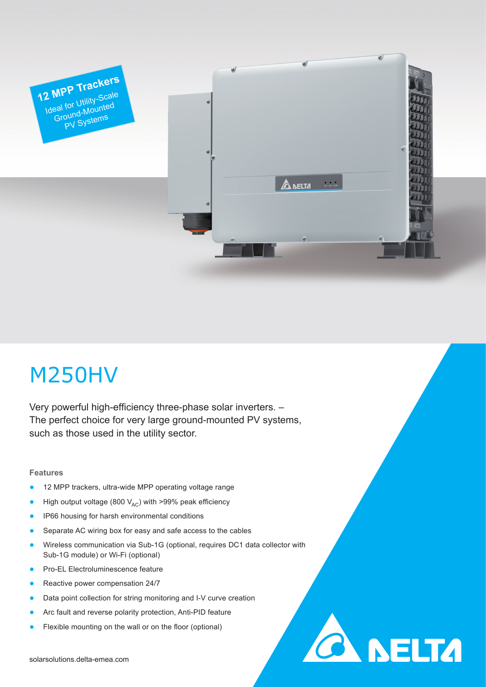

# M250HV

Very powerful high-efficiency three-phase solar inverters. – The perfect choice for very large ground-mounted PV systems, such as those used in the utility sector.

# **Features**

- 12 MPP trackers, ultra-wide MPP operating voltage range
- High output voltage (800  $V_{AC}$ ) with >99% peak efficiency
- IP66 housing for harsh environmental conditions
- Separate AC wiring box for easy and safe access to the cables
- Wireless communication via Sub-1G (optional, requires DC1 data collector with Sub-1G module) or Wi-Fi (optional)

**CA NELTA** 

- Pro-EL Electroluminescence feature
- Reactive power compensation 24/7
- Data point collection for string monitoring and I-V curve creation
- Arc fault and reverse polarity protection, Anti-PID feature
- Flexible mounting on the wall or on the floor (optional)